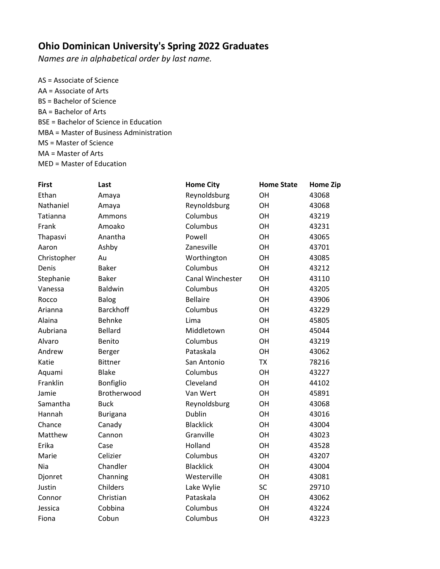## **Ohio Dominican University's Spring 2022 Graduates**

*Names are in alphabetical order by last name.* 

AS = Associate of Science AA = Associate of Arts BS = Bachelor of Science BA = Bachelor of Arts BSE = Bachelor of Science in Education MBA = Master of Business Administration MS = Master of Science MA = Master of Arts MED = Master of Education

| <b>First</b> | Last             | <b>Home City</b> | <b>Home State</b> | <b>Home Zip</b> |
|--------------|------------------|------------------|-------------------|-----------------|
| Ethan        | Amaya            | Reynoldsburg     | OH                | 43068           |
| Nathaniel    | Amaya            | Reynoldsburg     | OH                | 43068           |
| Tatianna     | Ammons           | Columbus         | OH                | 43219           |
| Frank        | Amoako           | Columbus         | OH                | 43231           |
| Thapasvi     | Anantha          | Powell           | OH                | 43065           |
| Aaron        | Ashby            | Zanesville       | OH                | 43701           |
| Christopher  | Au               | Worthington      | OH                | 43085           |
| Denis        | <b>Baker</b>     | Columbus         | OH                | 43212           |
| Stephanie    | <b>Baker</b>     | Canal Winchester | OH                | 43110           |
| Vanessa      | Baldwin          | Columbus         | OH                | 43205           |
| Rocco        | Balog            | <b>Bellaire</b>  | OH                | 43906           |
| Arianna      | <b>Barckhoff</b> | Columbus         | OH                | 43229           |
| Alaina       | <b>Behnke</b>    | Lima             | OH                | 45805           |
| Aubriana     | <b>Bellard</b>   | Middletown       | <b>OH</b>         | 45044           |
| Alvaro       | Benito           | Columbus         | OH                | 43219           |
| Andrew       | Berger           | Pataskala        | OH                | 43062           |
| Katie        | <b>Bittner</b>   | San Antonio      | <b>TX</b>         | 78216           |
| Aquami       | <b>Blake</b>     | Columbus         | OH                | 43227           |
| Franklin     | Bonfiglio        | Cleveland        | OH                | 44102           |
| Jamie        | Brotherwood      | Van Wert         | OH                | 45891           |
| Samantha     | <b>Buck</b>      | Reynoldsburg     | OH                | 43068           |
| Hannah       | <b>Burigana</b>  | Dublin           | OH                | 43016           |
| Chance       | Canady           | <b>Blacklick</b> | OH                | 43004           |
| Matthew      | Cannon           | Granville        | OH                | 43023           |
| Erika        | Case             | Holland          | OH                | 43528           |
| Marie        | Celizier         | Columbus         | OH                | 43207           |
| Nia          | Chandler         | <b>Blacklick</b> | OH                | 43004           |
| Djonret      | Channing         | Westerville      | <b>OH</b>         | 43081           |
| Justin       | Childers         | Lake Wylie       | SC                | 29710           |
| Connor       | Christian        | Pataskala        | OH                | 43062           |
| Jessica      | Cobbina          | Columbus         | OH                | 43224           |
| Fiona        | Cobun            | Columbus         | OH                | 43223           |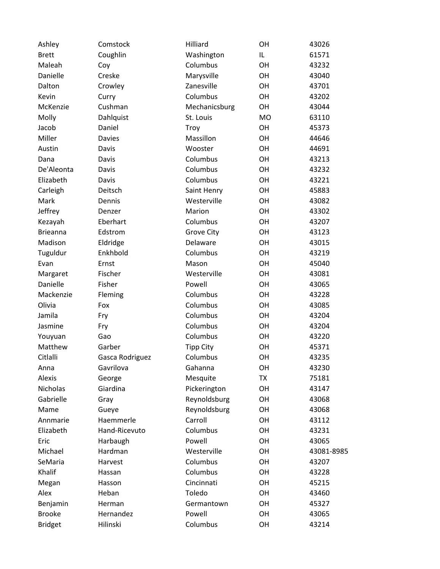| Ashley          | Comstock        | Hilliard         | OH        | 43026      |
|-----------------|-----------------|------------------|-----------|------------|
| <b>Brett</b>    | Coughlin        | Washington       | IL        | 61571      |
| Maleah          | Coy             | Columbus         | OH        | 43232      |
| Danielle        | Creske          | Marysville       | OH        | 43040      |
| Dalton          | Crowley         | Zanesville       | OH        | 43701      |
| Kevin           | Curry           | Columbus         | <b>OH</b> | 43202      |
| McKenzie        | Cushman         | Mechanicsburg    | OH        | 43044      |
| Molly           | Dahlquist       | St. Louis        | MO        | 63110      |
| Jacob           | Daniel          | Troy             | OH        | 45373      |
| Miller          | <b>Davies</b>   | Massillon        | OH        | 44646      |
| Austin          | Davis           | Wooster          | OH        | 44691      |
| Dana            | Davis           | Columbus         | OH        | 43213      |
| De'Aleonta      | Davis           | Columbus         | OH        | 43232      |
| Elizabeth       | Davis           | Columbus         | OH        | 43221      |
| Carleigh        | Deitsch         | Saint Henry      | OH        | 45883      |
| Mark            | Dennis          | Westerville      | OH        | 43082      |
| Jeffrey         | Denzer          | Marion           | OH        | 43302      |
| Kezayah         | Eberhart        | Columbus         | OH        | 43207      |
| <b>Brieanna</b> | Edstrom         | Grove City       | OH        | 43123      |
| Madison         | Eldridge        | Delaware         | OH        | 43015      |
| Tuguldur        | Enkhbold        | Columbus         | OH        | 43219      |
| Evan            | Ernst           | Mason            | OH        | 45040      |
| Margaret        | Fischer         | Westerville      | OH        | 43081      |
| Danielle        | Fisher          | Powell           | OH        | 43065      |
| Mackenzie       | Fleming         | Columbus         | OH        | 43228      |
| Olivia          | Fox             | Columbus         | <b>OH</b> | 43085      |
| Jamila          | Fry             | Columbus         | OH        | 43204      |
| Jasmine         | Fry             | Columbus         | OH        | 43204      |
| Youyuan         | Gao             | Columbus         | OH        | 43220      |
| Matthew         | Garber          | <b>Tipp City</b> | OH        | 45371      |
| Citlalli        | Gasca Rodriguez | Columbus         | OH        | 43235      |
| Anna            | Gavrilova       | Gahanna          | OH        | 43230      |
| Alexis          | George          | Mesquite         | <b>TX</b> | 75181      |
| Nicholas        | Giardina        | Pickerington     | OН        | 43147      |
| Gabrielle       | Gray            | Reynoldsburg     | OH        | 43068      |
| Mame            | Gueye           | Reynoldsburg     | OH        | 43068      |
| Annmarie        | Haemmerle       | Carroll          | OH        | 43112      |
| Elizabeth       | Hand-Ricevuto   | Columbus         | OH        | 43231      |
| Eric            | Harbaugh        | Powell           | OH        | 43065      |
| Michael         | Hardman         | Westerville      | OH        | 43081-8985 |
| SeMaria         | Harvest         | Columbus         | OH        | 43207      |
| Khalif          | Hassan          | Columbus         | OH        | 43228      |
| Megan           | Hasson          | Cincinnati       | OH        | 45215      |
| Alex            | Heban           | Toledo           | OH        | 43460      |
| Benjamin        | Herman          | Germantown       | OH        | 45327      |
| <b>Brooke</b>   | Hernandez       | Powell           | OH        | 43065      |
| <b>Bridget</b>  | Hilinski        | Columbus         | OH        | 43214      |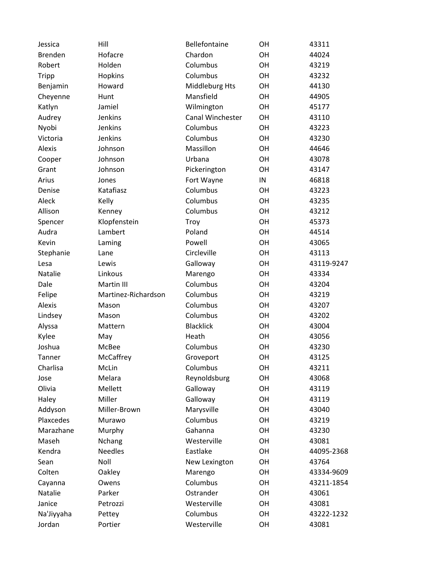| Jessica        | Hill                | Bellefontaine    | OH         | 43311      |
|----------------|---------------------|------------------|------------|------------|
| <b>Brenden</b> | Hofacre             | Chardon          | OH         | 44024      |
| Robert         | Holden              | Columbus         | OH         | 43219      |
| <b>Tripp</b>   | Hopkins             | Columbus         | OH         | 43232      |
| Benjamin       | Howard              | Middleburg Hts   | OH         | 44130      |
| Cheyenne       | Hunt                | Mansfield        | OH         | 44905      |
| Katlyn         | Jamiel              | Wilmington       | OH         | 45177      |
| Audrey         | Jenkins             | Canal Winchester | OH         | 43110      |
| Nyobi          | Jenkins             | Columbus         | OH         | 43223      |
| Victoria       | Jenkins             | Columbus         | OH         | 43230      |
| Alexis         | Johnson             | Massillon        | OH         | 44646      |
| Cooper         | Johnson             | Urbana           | OH         | 43078      |
| Grant          | Johnson             | Pickerington     | OH         | 43147      |
| Arius          | Jones               | Fort Wayne       | ${\sf IN}$ | 46818      |
| Denise         | Katafiasz           | Columbus         | OH         | 43223      |
| Aleck          | Kelly               | Columbus         | OH         | 43235      |
| Allison        | Kenney              | Columbus         | OH         | 43212      |
| Spencer        | Klopfenstein        | Troy             | OH         | 45373      |
| Audra          | Lambert             | Poland           | OH         | 44514      |
| Kevin          | Laming              | Powell           | OH         | 43065      |
| Stephanie      | Lane                | Circleville      | OH         | 43113      |
| Lesa           | Lewis               | Galloway         | OH         | 43119-9247 |
| Natalie        | Linkous             | Marengo          | OH         | 43334      |
| Dale           | Martin III          | Columbus         | OH         | 43204      |
| Felipe         | Martinez-Richardson | Columbus         | OH         | 43219      |
| Alexis         | Mason               | Columbus         | OH         | 43207      |
| Lindsey        | Mason               | Columbus         | OH         | 43202      |
| Alyssa         | Mattern             | <b>Blacklick</b> | OH         | 43004      |
| Kylee          | May                 | Heath            | OH         | 43056      |
| Joshua         | McBee               | Columbus         | OH         | 43230      |
| Tanner         | McCaffrey           | Groveport        | OH         | 43125      |
| Charlisa       | McLin               | Columbus         | OH         | 43211      |
| Jose           | Melara              | Reynoldsburg     | OH         | 43068      |
| Olivia         | Mellett             | Galloway         | OH         | 43119      |
| Haley          | Miller              | Galloway         | OH         | 43119      |
| Addyson        | Miller-Brown        | Marysville       | OH         | 43040      |
| Plaxcedes      | Murawo              | Columbus         | OH         | 43219      |
| Marazhane      | Murphy              | Gahanna          | OH         | 43230      |
| Maseh          | Nchang              | Westerville      | OH         | 43081      |
| Kendra         | <b>Needles</b>      | Eastlake         | OH         | 44095-2368 |
| Sean           | Noll                | New Lexington    | OH         | 43764      |
| Colten         | Oakley              | Marengo          | OH         | 43334-9609 |
| Cayanna        | Owens               | Columbus         | OH         | 43211-1854 |
| Natalie        | Parker              | Ostrander        | OH         | 43061      |
| Janice         | Petrozzi            | Westerville      | OH         | 43081      |
| Na'Jiyyaha     | Pettey              | Columbus         | OH         | 43222-1232 |
| Jordan         | Portier             | Westerville      | OH         | 43081      |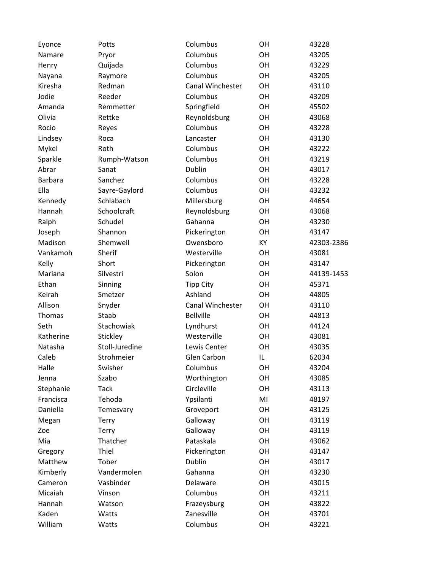| Eyonce         | Potts          | Columbus           | OH        | 43228      |
|----------------|----------------|--------------------|-----------|------------|
| Namare         | Pryor          | Columbus           | OH        | 43205      |
| Henry          | Quijada        | Columbus           | <b>OH</b> | 43229      |
| Nayana         | Raymore        | Columbus           | OH        | 43205      |
| Kiresha        | Redman         | Canal Winchester   | OH        | 43110      |
| Jodie          | Reeder         | Columbus           | OH        | 43209      |
| Amanda         | Remmetter      | Springfield        | OH        | 45502      |
| Olivia         | Rettke         | Reynoldsburg       | OH        | 43068      |
| Rocio          | Reyes          | Columbus           | OH        | 43228      |
| Lindsey        | Roca           | Lancaster          | OH        | 43130      |
| Mykel          | Roth           | Columbus           | OH        | 43222      |
| Sparkle        | Rumph-Watson   | Columbus           | OH        | 43219      |
| Abrar          | Sanat          | Dublin             | OH        | 43017      |
| <b>Barbara</b> | Sanchez        | Columbus           | OH        | 43228      |
| Ella           | Sayre-Gaylord  | Columbus           | OH        | 43232      |
| Kennedy        | Schlabach      | Millersburg        | OH        | 44654      |
| Hannah         | Schoolcraft    | Reynoldsburg       | OH        | 43068      |
| Ralph          | Schudel        | Gahanna            | OH        | 43230      |
| Joseph         | Shannon        | Pickerington       | OH        | 43147      |
| Madison        | Shemwell       | Owensboro          | KY        | 42303-2386 |
| Vankamoh       | Sherif         | Westerville        | <b>OH</b> | 43081      |
| Kelly          | Short          | Pickerington       | OH        | 43147      |
| Mariana        | Silvestri      | Solon              | OH        | 44139-1453 |
| Ethan          | Sinning        | <b>Tipp City</b>   | <b>OH</b> | 45371      |
| Keirah         | Smetzer        | Ashland            | <b>OH</b> | 44805      |
| Allison        | Snyder         | Canal Winchester   | OH        | 43110      |
| Thomas         | Staab          | <b>Bellville</b>   | OH        | 44813      |
| Seth           | Stachowiak     | Lyndhurst          | OH        | 44124      |
| Katherine      | Stickley       | Westerville        | OH        | 43081      |
| Natasha        | Stoll-Juredine | Lewis Center       | OH        | 43035      |
| Caleb          | Strohmeier     | <b>Glen Carbon</b> | IL        | 62034      |
| Halle          | Swisher        | Columbus           | OH        | 43204      |
| Jenna          | Szabo          | Worthington        | OH        | 43085      |
| Stephanie      | <b>Tack</b>    | Circleville        | OH        | 43113      |
| Francisca      | Tehoda         | Ypsilanti          | MI        | 48197      |
| Daniella       | Temesvary      | Groveport          | OH        | 43125      |
| Megan          | Terry          | Galloway           | OH        | 43119      |
| Zoe            | Terry          | Galloway           | OH        | 43119      |
| Mia            | Thatcher       | Pataskala          | OH        | 43062      |
| Gregory        | Thiel          | Pickerington       | OH        | 43147      |
| Matthew        | Tober          | Dublin             | OH        | 43017      |
| Kimberly       | Vandermolen    | Gahanna            | OH        | 43230      |
| Cameron        | Vasbinder      | Delaware           | OH        | 43015      |
| Micaiah        | Vinson         | Columbus           | OH        | 43211      |
| Hannah         | Watson         | Frazeysburg        | OH        | 43822      |
| Kaden          | Watts          | Zanesville         | OH        | 43701      |
| William        | Watts          | Columbus           | OH        | 43221      |